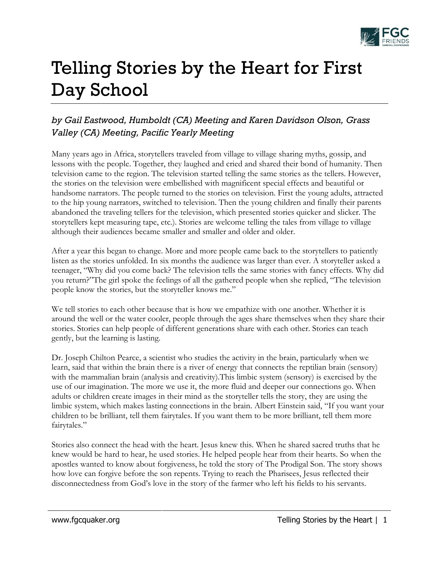

## Telling Stories by the Heart for First Day School

## *by Gail Eastwood, Humboldt (CA) Meeting and Karen Davidson Olson, Grass Valley (CA) Meeting, Pacific Yearly Meeting*

Many years ago in Africa, storytellers traveled from village to village sharing myths, gossip, and lessons with the people. Together, they laughed and cried and shared their bond of humanity. Then television came to the region. The television started telling the same stories as the tellers. However, the stories on the television were embellished with magnificent special effects and beautiful or handsome narrators. The people turned to the stories on television. First the young adults, attracted to the hip young narrators, switched to television. Then the young children and finally their parents abandoned the traveling tellers for the television, which presented stories quicker and slicker. The storytellers kept measuring tape, etc.). Stories are welcome telling the tales from village to village although their audiences became smaller and smaller and older and older.

After a year this began to change. More and more people came back to the storytellers to patiently listen as the stories unfolded. In six months the audience was larger than ever. A storyteller asked a teenager, "Why did you come back? The television tells the same stories with fancy effects. Why did you return?"The girl spoke the feelings of all the gathered people when she replied, "The television people know the stories, but the storyteller knows me."

We tell stories to each other because that is how we empathize with one another. Whether it is around the well or the water cooler, people through the ages share themselves when they share their stories. Stories can help people of different generations share with each other. Stories can teach gently, but the learning is lasting.

Dr. Joseph Chilton Pearce, a scientist who studies the activity in the brain, particularly when we learn, said that within the brain there is a river of energy that connects the reptilian brain (sensory) with the mammalian brain (analysis and creativity).This limbic system (sensory) is exercised by the use of our imagination. The more we use it, the more fluid and deeper our connections go. When adults or children create images in their mind as the storyteller tells the story, they are using the limbic system, which makes lasting connections in the brain. Albert Einstein said, "If you want your children to be brilliant, tell them fairytales. If you want them to be more brilliant, tell them more fairytales."

Stories also connect the head with the heart. Jesus knew this. When he shared sacred truths that he knew would be hard to hear, he used stories. He helped people hear from their hearts. So when the apostles wanted to know about forgiveness, he told the story of The Prodigal Son. The story shows how love can forgive before the son repents. Trying to reach the Pharisees, Jesus reflected their disconnectedness from God's love in the story of the farmer who left his fields to his servants.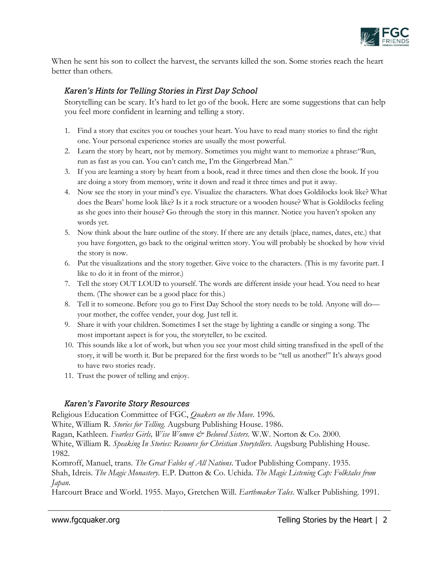

When he sent his son to collect the harvest, the servants killed the son. Some stories reach the heart better than others.

## *Karen's Hints for Telling Stories in First Day School*

Storytelling can be scary. It's hard to let go of the book. Here are some suggestions that can help you feel more confident in learning and telling a story.

- 1. Find a story that excites you or touches your heart. You have to read many stories to find the right one. Your personal experience stories are usually the most powerful.
- 2. Learn the story by heart, not by memory. Sometimes you might want to memorize a phrase:"Run, run as fast as you can. You can't catch me, I'm the Gingerbread Man."
- 3. If you are learning a story by heart from a book, read it three times and then close the book. If you are doing a story from memory, write it down and read it three times and put it away.
- 4. Now see the story in your mind's eye. Visualize the characters. What does Goldilocks look like? What does the Bears' home look like? Is it a rock structure or a wooden house? What is Goldilocks feeling as she goes into their house? Go through the story in this manner. Notice you haven't spoken any words yet.
- 5. Now think about the bare outline of the story. If there are any details (place, names, dates, etc.) that you have forgotten, go back to the original written story. You will probably be shocked by how vivid the story is now.
- 6. Put the visualizations and the story together. Give voice to the characters. (This is my favorite part. I like to do it in front of the mirror.)
- 7. Tell the story OUT LOUD to yourself. The words are different inside your head. You need to hear them. (The shower can be a good place for this.)
- 8. Tell it to someone. Before you go to First Day School the story needs to be told. Anyone will do your mother, the coffee vender, your dog. Just tell it.
- 9. Share it with your children. Sometimes I set the stage by lighting a candle or singing a song. The most important aspect is for you, the storyteller, to be excited.
- 10. This sounds like a lot of work, but when you see your most child sitting transfixed in the spell of the story, it will be worth it. But be prepared for the first words to be "tell us another!" It's always good to have two stories ready.
- 11. Trust the power of telling and enjoy.

## *Karen's Favorite Story Resources*

Religious Education Committee of FGC, *Quakers on the Move*. 1996.

White, William R. *Stories for Telling*. Augsburg Publishing House. 1986.

Ragan, Kathleen. *Fearless Girls, Wise Women & Beloved Sisters*. W.W. Norton & Co. 2000.

White, William R. *Speaking In Stories: Resource for Christian Storytellers*. Augsburg Publishing House. 1982.

Komroff, Manuel, trans. *The Great Fables of All Nations*. Tudor Publishing Company. 1935.

Shah, Idreis. *The Magic Monastery*. E.P. Dutton & Co. Uchida. *The Magic Listening Cap: Folktales from Japan*.

Harcourt Brace and World. 1955. Mayo, Gretchen Will. *Earthmaker Tales*. Walker Publishing. 1991.